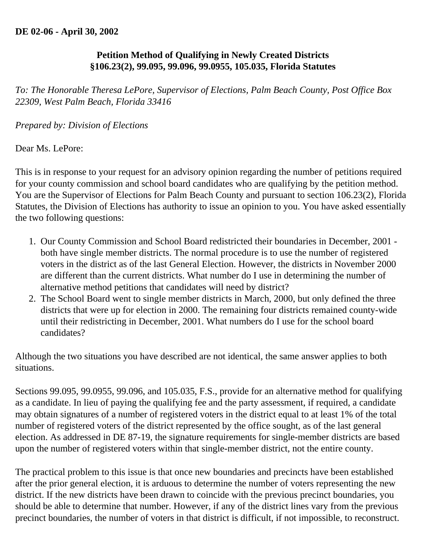## **DE 02-06 - April 30, 2002**

## **Petition Method of Qualifying in Newly Created Districts §106.23(2), 99.095, 99.096, 99.0955, 105.035, Florida Statutes**

*To: The Honorable Theresa LePore, Supervisor of Elections, Palm Beach County, Post Office Box 22309, West Palm Beach, Florida 33416* 

## *Prepared by: Division of Elections*

Dear Ms. LePore:

This is in response to your request for an advisory opinion regarding the number of petitions required for your county commission and school board candidates who are qualifying by the petition method. You are the Supervisor of Elections for Palm Beach County and pursuant to section 106.23(2), Florida Statutes, the Division of Elections has authority to issue an opinion to you. You have asked essentially the two following questions:

- 1. Our County Commission and School Board redistricted their boundaries in December, 2001 both have single member districts. The normal procedure is to use the number of registered voters in the district as of the last General Election. However, the districts in November 2000 are different than the current districts. What number do I use in determining the number of alternative method petitions that candidates will need by district?
- 2. The School Board went to single member districts in March, 2000, but only defined the three districts that were up for election in 2000. The remaining four districts remained county-wide until their redistricting in December, 2001. What numbers do I use for the school board candidates?

Although the two situations you have described are not identical, the same answer applies to both situations.

Sections 99.095, 99.0955, 99.096, and 105.035, F.S., provide for an alternative method for qualifying as a candidate. In lieu of paying the qualifying fee and the party assessment, if required, a candidate may obtain signatures of a number of registered voters in the district equal to at least 1% of the total number of registered voters of the district represented by the office sought, as of the last general election. As addressed in DE 87-19, the signature requirements for single-member districts are based upon the number of registered voters within that single-member district, not the entire county.

The practical problem to this issue is that once new boundaries and precincts have been established after the prior general election, it is arduous to determine the number of voters representing the new district. If the new districts have been drawn to coincide with the previous precinct boundaries, you should be able to determine that number. However, if any of the district lines vary from the previous precinct boundaries, the number of voters in that district is difficult, if not impossible, to reconstruct.